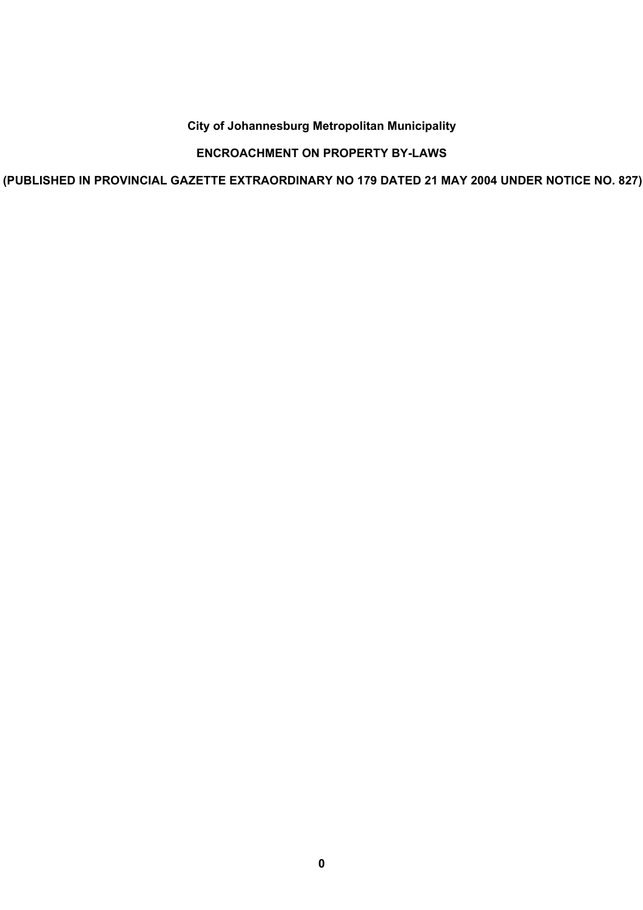# **City of Johannesburg Metropolitan Municipality**

# **ENCROACHMENT ON PROPERTY BY-LAWS**

**(PUBLISHED IN PROVINCIAL GAZETTE EXTRAORDINARY NO 179 DATED 21 MAY 2004 UNDER NOTICE NO. 827)**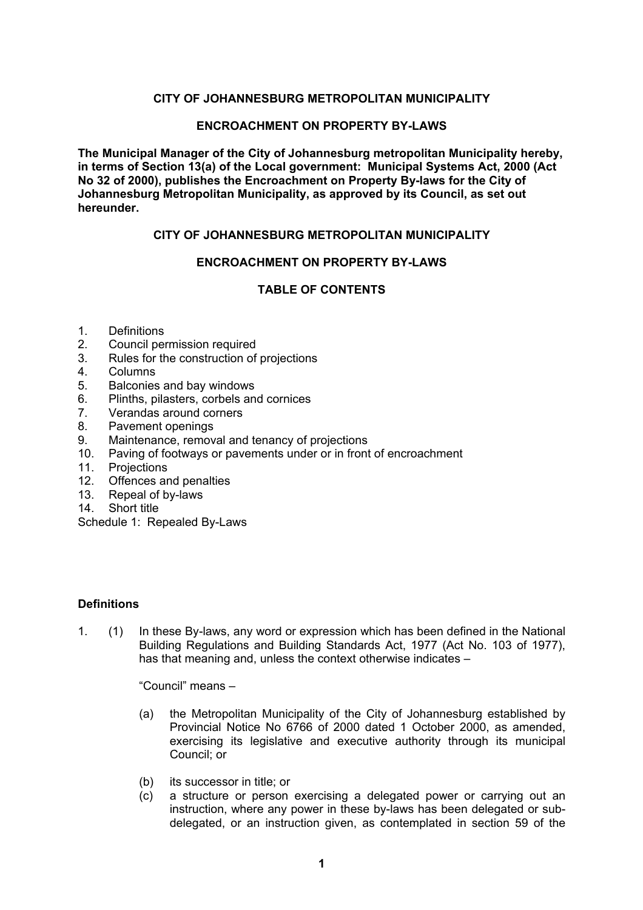## **CITY OF JOHANNESBURG METROPOLITAN MUNICIPALITY**

### **ENCROACHMENT ON PROPERTY BY-LAWS**

**The Municipal Manager of the City of Johannesburg metropolitan Municipality hereby, in terms of Section 13(a) of the Local government: Municipal Systems Act, 2000 (Act No 32 of 2000), publishes the Encroachment on Property By-laws for the City of Johannesburg Metropolitan Municipality, as approved by its Council, as set out hereunder.** 

## **CITY OF JOHANNESBURG METROPOLITAN MUNICIPALITY**

### **ENCROACHMENT ON PROPERTY BY-LAWS**

### **TABLE OF CONTENTS**

#### 1. Definitions

- 2. Council permission required
- 3. Rules for the construction of projections
- 4. Columns
- 5. Balconies and bay windows
- 6. Plinths, pilasters, corbels and cornices
- 7. Verandas around corners
- 8. Pavement openings
- 9. Maintenance, removal and tenancy of projections
- 10. Paving of footways or pavements under or in front of encroachment
- 11. Projections
- 12. Offences and penalties
- 13. Repeal of by-laws
- 14. Short title

Schedule 1: Repealed By-Laws

#### **Definitions**

1. (1) In these By-laws, any word or expression which has been defined in the National Building Regulations and Building Standards Act, 1977 (Act No. 103 of 1977), has that meaning and, unless the context otherwise indicates  $-$ 

"Council" means  $-$ 

- (a) the Metropolitan Municipality of the City of Johannesburg established by Provincial Notice No 6766 of 2000 dated 1 October 2000, as amended, exercising its legislative and executive authority through its municipal Council; or
- (b) its successor in title; or
- (c) a structure or person exercising a delegated power or carrying out an instruction, where any power in these by-laws has been delegated or subdelegated, or an instruction given, as contemplated in section 59 of the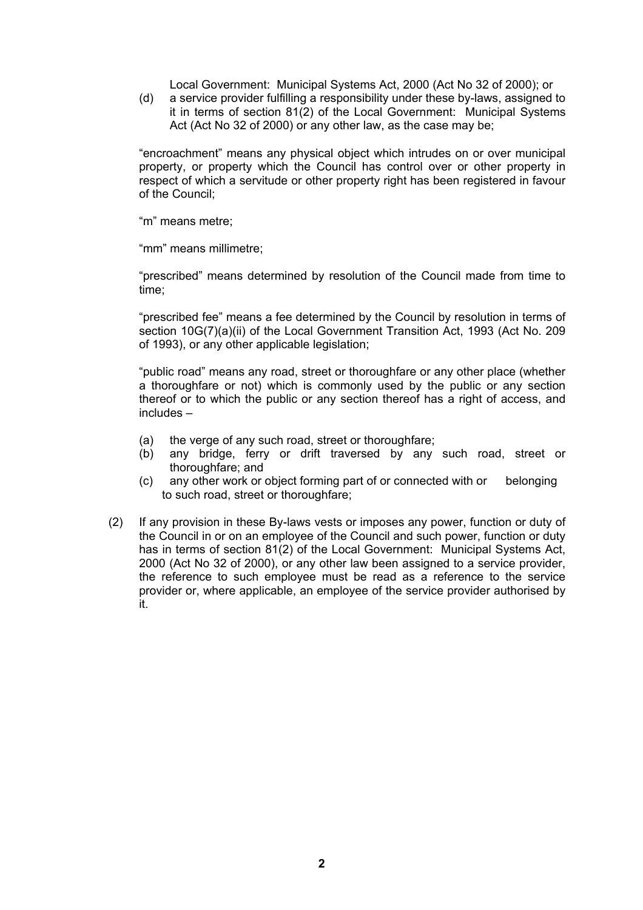Local Government: Municipal Systems Act, 2000 (Act No 32 of 2000); or

(d) a service provider fulfilling a responsibility under these by-laws, assigned to it in terms of section 81(2) of the Local Government: Municipal Systems Act (Act No 32 of 2000) or any other law, as the case may be;

"encroachment" means any physical object which intrudes on or over municipal property, or property which the Council has control over or other property in respect of which a servitude or other property right has been registered in favour of the Council;

"m" means metre:

"mm" means millimetre:

"prescribed" means determined by resolution of the Council made from time to time;

"prescribed fee" means a fee determined by the Council by resolution in terms of section 10G(7)(a)(ii) of the Local Government Transition Act, 1993 (Act No. 209 of 1993), or any other applicable legislation;

"public road" means any road, street or thoroughfare or any other place (whether a thoroughfare or not) which is commonly used by the public or any section thereof or to which the public or any section thereof has a right of access, and  $include$  =

- (a) the verge of any such road, street or thoroughfare;
- (b) any bridge, ferry or drift traversed by any such road, street or thoroughfare; and
- (c) any other work or object forming part of or connected with or belonging to such road, street or thoroughfare;
- (2) If any provision in these By-laws vests or imposes any power, function or duty of the Council in or on an employee of the Council and such power, function or duty has in terms of section 81(2) of the Local Government: Municipal Systems Act, 2000 (Act No 32 of 2000), or any other law been assigned to a service provider, the reference to such employee must be read as a reference to the service provider or, where applicable, an employee of the service provider authorised by it.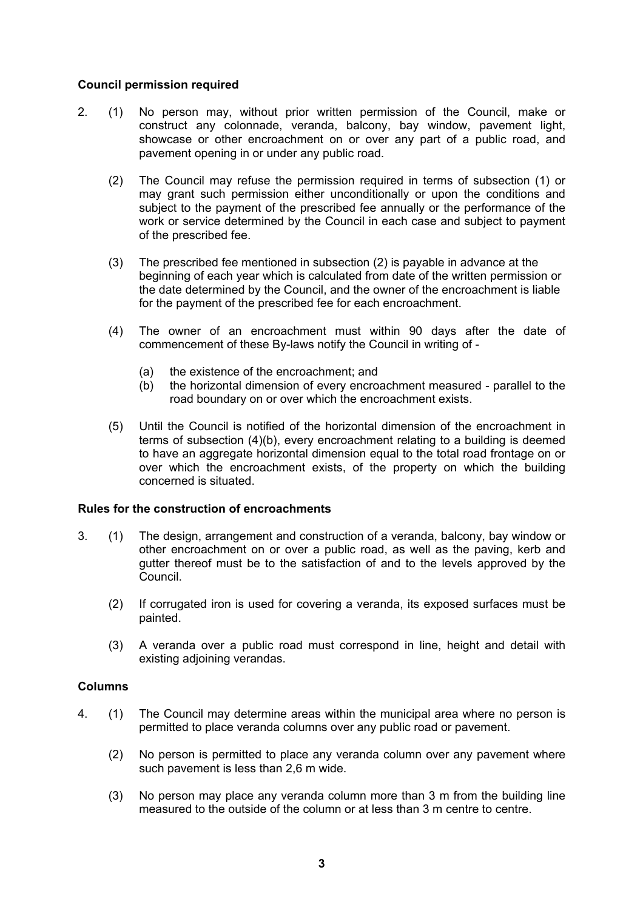### **Council permission required**

- 2. (1) No person may, without prior written permission of the Council, make or construct any colonnade, veranda, balcony, bay window, pavement light, showcase or other encroachment on or over any part of a public road, and pavement opening in or under any public road.
	- (2) The Council may refuse the permission required in terms of subsection (1) or may grant such permission either unconditionally or upon the conditions and subject to the payment of the prescribed fee annually or the performance of the work or service determined by the Council in each case and subject to payment of the prescribed fee.
	- (3) The prescribed fee mentioned in subsection (2) is payable in advance at the beginning of each year which is calculated from date of the written permission or the date determined by the Council, and the owner of the encroachment is liable for the payment of the prescribed fee for each encroachment.
	- (4) The owner of an encroachment must within 90 days after the date of commencement of these By-laws notify the Council in writing of -
		- (a) the existence of the encroachment; and
		- (b) the horizontal dimension of every encroachment measured parallel to the road boundary on or over which the encroachment exists.
	- (5) Until the Council is notified of the horizontal dimension of the encroachment in terms of subsection (4)(b), every encroachment relating to a building is deemed to have an aggregate horizontal dimension equal to the total road frontage on or over which the encroachment exists, of the property on which the building concerned is situated.

## **Rules for the construction of encroachments**

- 3. (1) The design, arrangement and construction of a veranda, balcony, bay window or other encroachment on or over a public road, as well as the paving, kerb and gutter thereof must be to the satisfaction of and to the levels approved by the Council.
	- (2) If corrugated iron is used for covering a veranda, its exposed surfaces must be painted.
	- (3) A veranda over a public road must correspond in line, height and detail with existing adjoining verandas.

#### **Columns**

- 4. (1) The Council may determine areas within the municipal area where no person is permitted to place veranda columns over any public road or pavement.
	- (2) No person is permitted to place any veranda column over any pavement where such pavement is less than 2,6 m wide.
	- (3) No person may place any veranda column more than 3 m from the building line measured to the outside of the column or at less than 3 m centre to centre.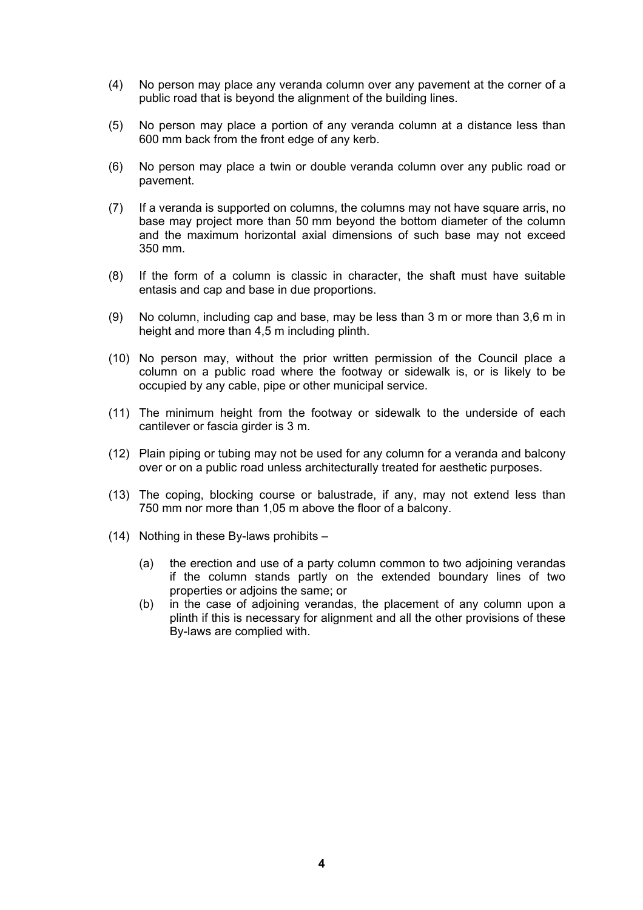- (4) No person may place any veranda column over any pavement at the corner of a public road that is beyond the alignment of the building lines.
- (5) No person may place a portion of any veranda column at a distance less than 600 mm back from the front edge of any kerb.
- (6) No person may place a twin or double veranda column over any public road or pavement.
- (7) If a veranda is supported on columns, the columns may not have square arris, no base may project more than 50 mm beyond the bottom diameter of the column and the maximum horizontal axial dimensions of such base may not exceed 350 mm.
- (8) If the form of a column is classic in character, the shaft must have suitable entasis and cap and base in due proportions.
- (9) No column, including cap and base, may be less than 3 m or more than 3,6 m in height and more than 4,5 m including plinth.
- (10) No person may, without the prior written permission of the Council place a column on a public road where the footway or sidewalk is, or is likely to be occupied by any cable, pipe or other municipal service.
- (11) The minimum height from the footway or sidewalk to the underside of each cantilever or fascia girder is 3 m.
- (12) Plain piping or tubing may not be used for any column for a veranda and balcony over or on a public road unless architecturally treated for aesthetic purposes.
- (13) The coping, blocking course or balustrade, if any, may not extend less than 750 mm nor more than 1,05 m above the floor of a balcony.
- (14) Nothing in these By-laws prohibits  $-$ 
	- (a) the erection and use of a party column common to two adjoining verandas if the column stands partly on the extended boundary lines of two properties or adjoins the same; or
	- (b) in the case of adjoining verandas, the placement of any column upon a plinth if this is necessary for alignment and all the other provisions of these By-laws are complied with.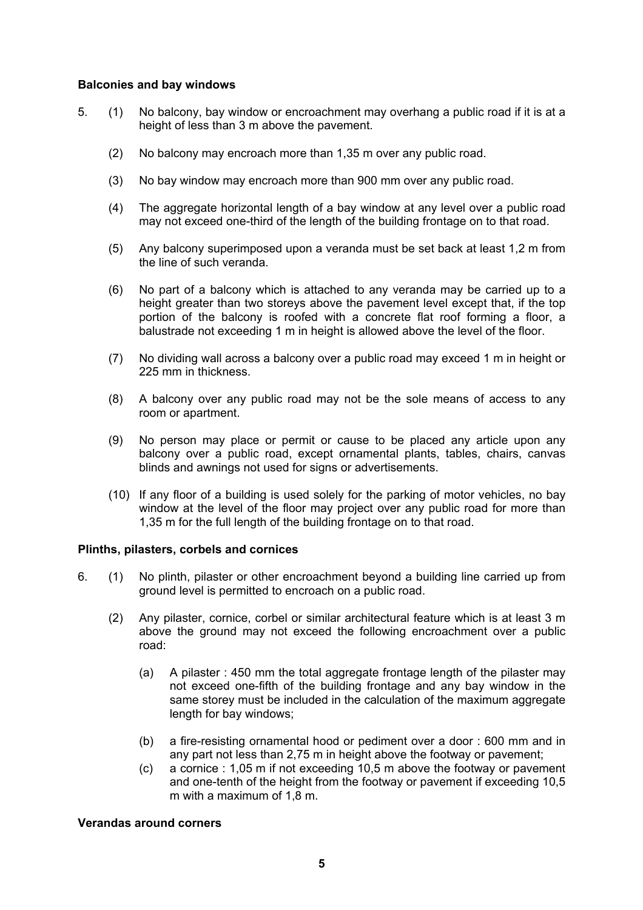### **Balconies and bay windows**

- 5. (1) No balcony, bay window or encroachment may overhang a public road if it is at a height of less than 3 m above the pavement.
	- (2) No balcony may encroach more than 1,35 m over any public road.
	- (3) No bay window may encroach more than 900 mm over any public road.
	- (4) The aggregate horizontal length of a bay window at any level over a public road may not exceed one-third of the length of the building frontage on to that road.
	- (5) Any balcony superimposed upon a veranda must be set back at least 1,2 m from the line of such veranda.
	- (6) No part of a balcony which is attached to any veranda may be carried up to a height greater than two storeys above the pavement level except that, if the top portion of the balcony is roofed with a concrete flat roof forming a floor, a balustrade not exceeding 1 m in height is allowed above the level of the floor.
	- (7) No dividing wall across a balcony over a public road may exceed 1 m in height or 225 mm in thickness.
	- (8) A balcony over any public road may not be the sole means of access to any room or apartment.
	- (9) No person may place or permit or cause to be placed any article upon any balcony over a public road, except ornamental plants, tables, chairs, canvas blinds and awnings not used for signs or advertisements.
	- (10) If any floor of a building is used solely for the parking of motor vehicles, no bay window at the level of the floor may project over any public road for more than 1,35 m for the full length of the building frontage on to that road.

#### **Plinths, pilasters, corbels and cornices**

- 6. (1) No plinth, pilaster or other encroachment beyond a building line carried up from ground level is permitted to encroach on a public road.
	- (2) Any pilaster, cornice, corbel or similar architectural feature which is at least 3 m above the ground may not exceed the following encroachment over a public road:
		- (a) A pilaster : 450 mm the total aggregate frontage length of the pilaster may not exceed one-fifth of the building frontage and any bay window in the same storey must be included in the calculation of the maximum aggregate length for bay windows;
		- (b) a fire-resisting ornamental hood or pediment over a door : 600 mm and in any part not less than 2,75 m in height above the footway or pavement;
		- (c) a cornice : 1,05 m if not exceeding 10,5 m above the footway or pavement and one-tenth of the height from the footway or pavement if exceeding 10,5 m with a maximum of 1,8 m.

## **Verandas around corners**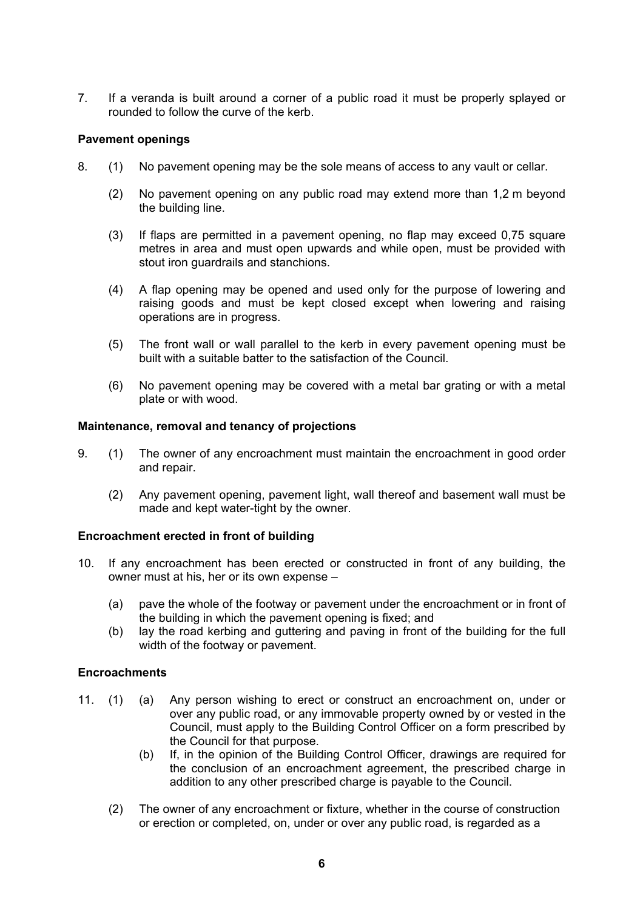7. If a veranda is built around a corner of a public road it must be properly splayed or rounded to follow the curve of the kerb.

## **Pavement openings**

- 8. (1) No pavement opening may be the sole means of access to any vault or cellar.
	- (2) No pavement opening on any public road may extend more than 1,2 m beyond the building line.
	- (3) If flaps are permitted in a pavement opening, no flap may exceed 0,75 square metres in area and must open upwards and while open, must be provided with stout iron guardrails and stanchions.
	- (4) A flap opening may be opened and used only for the purpose of lowering and raising goods and must be kept closed except when lowering and raising operations are in progress.
	- (5) The front wall or wall parallel to the kerb in every pavement opening must be built with a suitable batter to the satisfaction of the Council.
	- (6) No pavement opening may be covered with a metal bar grating or with a metal plate or with wood.

#### **Maintenance, removal and tenancy of projections**

- 9. (1) The owner of any encroachment must maintain the encroachment in good order and repair.
	- (2) Any pavement opening, pavement light, wall thereof and basement wall must be made and kept water-tight by the owner.

#### **Encroachment erected in front of building**

- 10. If any encroachment has been erected or constructed in front of any building, the owner must at his, her or its own expense  $-$ 
	- (a) pave the whole of the footway or pavement under the encroachment or in front of the building in which the pavement opening is fixed; and
	- (b) lay the road kerbing and guttering and paving in front of the building for the full width of the footway or payement.

#### **Encroachments**

- 11. (1) (a) Any person wishing to erect or construct an encroachment on, under or over any public road, or any immovable property owned by or vested in the Council, must apply to the Building Control Officer on a form prescribed by the Council for that purpose.
	- (b) If, in the opinion of the Building Control Officer, drawings are required for the conclusion of an encroachment agreement, the prescribed charge in addition to any other prescribed charge is payable to the Council.
	- (2) The owner of any encroachment or fixture, whether in the course of construction or erection or completed, on, under or over any public road, is regarded as a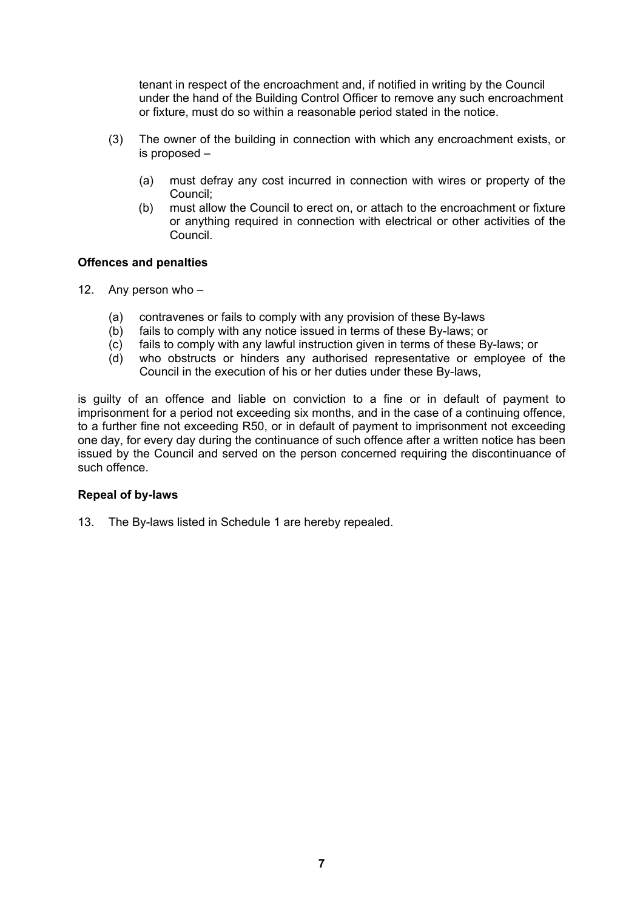tenant in respect of the encroachment and, if notified in writing by the Council under the hand of the Building Control Officer to remove any such encroachment or fixture, must do so within a reasonable period stated in the notice.

- (3) The owner of the building in connection with which any encroachment exists, or is proposed  $-$ 
	- (a) must defray any cost incurred in connection with wires or property of the Council;
	- (b) must allow the Council to erect on, or attach to the encroachment or fixture or anything required in connection with electrical or other activities of the Council.

## **Offences and penalties**

- 12. Any person who  $-$ 
	- (a) contravenes or fails to comply with any provision of these By-laws
	- (b) fails to comply with any notice issued in terms of these By-laws; or
	- (c) fails to comply with any lawful instruction given in terms of these By-laws; or
	- (d) who obstructs or hinders any authorised representative or employee of the Council in the execution of his or her duties under these By-laws,

is guilty of an offence and liable on conviction to a fine or in default of payment to imprisonment for a period not exceeding six months, and in the case of a continuing offence, to a further fine not exceeding R50, or in default of payment to imprisonment not exceeding one day, for every day during the continuance of such offence after a written notice has been issued by the Council and served on the person concerned requiring the discontinuance of such offence.

## **Repeal of by-laws**

13. The By-laws listed in Schedule 1 are hereby repealed.